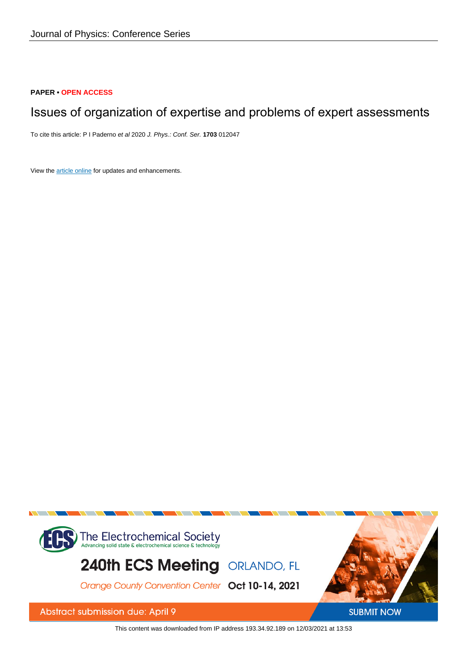# **PAPER • OPEN ACCESS**

# Issues of organization of expertise and problems of expert assessments

To cite this article: P I Paderno et al 2020 J. Phys.: Conf. Ser. **1703** 012047

View the [article online](https://doi.org/10.1088/1742-6596/1703/1/012047) for updates and enhancements.



This content was downloaded from IP address 193.34.92.189 on 12/03/2021 at 13:53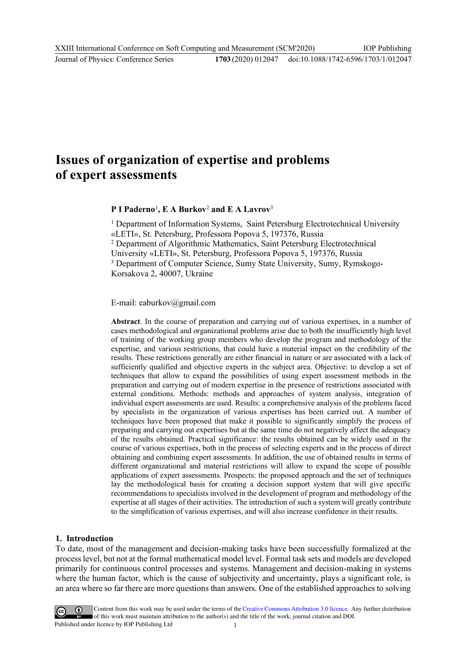# **Issues of organization of expertise and problems of expert assessments**

# **P I Paderno**<sup>1</sup> **, E A Burkov**<sup>2</sup> **and E A Lavrov**<sup>3</sup>

<sup>1</sup> Department of Information Systems, Saint Petersburg Electrotechnical University «LETI», St. Petersburg, Professora Popova 5, 197376, Russia <sup>2</sup> Department of Algorithmic Mathematics, Saint Petersburg Electrotechnical University «LETI», St. Petersburg, Professora Popova 5, 197376, Russia <sup>3</sup> Department of Computer Science, Sumy State University, Sumy, Rymskogo-Korsakova 2, 40007, Ukraine

#### E-mail: eaburkov@gmail.com

**Abstract**. In the course of preparation and carrying out of various expertises, in a number of cases methodological and organizational problems arise due to both the insufficiently high level of training of the working group members who develop the program and methodology of the expertise, and various restrictions, that could have a material impact on the credibility of the results. These restrictions generally are either financial in nature or are associated with a lack of sufficiently qualified and objective experts in the subject area. Objective: to develop a set of techniques that allow to expand the possibilities of using expert assessment methods in the preparation and carrying out of modern expertise in the presence of restrictions associated with external conditions. Methods: methods and approaches of system analysis, integration of individual expert assessments are used. Results: a comprehensive analysis of the problems faced by specialists in the organization of various expertises has been carried out. A number of techniques have been proposed that make it possible to significantly simplify the process of preparing and carrying out expertises but at the same time do not negatively affect the adequacy of the results obtained. Practical significance: the results obtained can be widely used in the course of various expertises, both in the process of selecting experts and in the process of direct obtaining and combining expert assessments. In addition, the use of obtained results in terms of different organizational and material restrictions will allow to expand the scope of possible applications of expert assessments. Prospects: the proposed approach and the set of techniques lay the methodological basis for creating a decision support system that will give specific recommendations to specialists involved in the development of program and methodology of the expertise at all stages of their activities. The introduction of such a system will greatly contribute to the simplification of various expertises, and will also increase confidence in their results.

#### **1. Introduction**

To date, most of the management and decision-making tasks have been successfully formalized at the process level, but not at the formal mathematical model level. Formal task sets and models are developed primarily for continuous control processes and systems. Management and decision-making in systems where the human factor, which is the cause of subjectivity and uncertainty, plays a significant role, is an area where so far there are more questions than answers. One of the established approaches to solving



Content from this work may be used under the terms of the Creative Commons Attribution 3.0 licence. Any further distribution of this work must maintain attribution to the author(s) and the title of the work, journal citation and DOI. Published under licence by IOP Publishing Ltd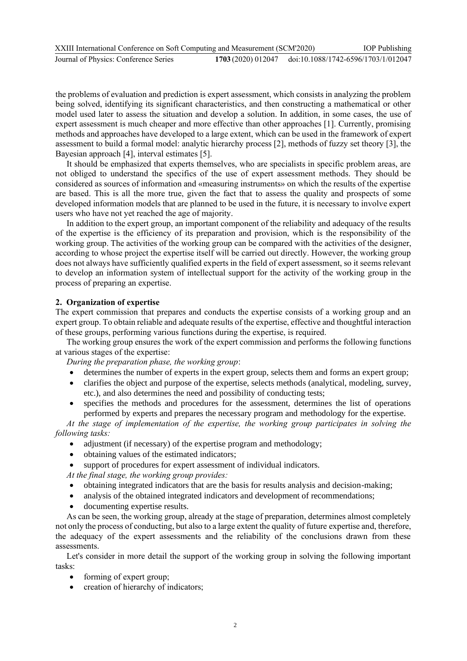| XXIII International Conference on Soft Computing and Measurement (SCM'2020) |                                                        | <b>IOP</b> Publishing |
|-----------------------------------------------------------------------------|--------------------------------------------------------|-----------------------|
| Journal of Physics: Conference Series                                       | 1703 (2020) 012047 doi:10.1088/1742-6596/1703/1/012047 |                       |

the problems of evaluation and prediction is expert assessment, which consists in analyzing the problem being solved, identifying its significant characteristics, and then constructing a mathematical or other model used later to assess the situation and develop a solution. In addition, in some cases, the use of expert assessment is much cheaper and more effective than other approaches [1]. Currently, promising methods and approaches have developed to a large extent, which can be used in the framework of expert assessment to build a formal model: analytic hierarchy process [2], methods of fuzzy set theory [3], the Bayesian approach [4], interval estimates [5].

It should be emphasized that experts themselves, who are specialists in specific problem areas, are not obliged to understand the specifics of the use of expert assessment methods. They should be considered as sources of information and «measuring instruments» on which the results of the expertise are based. This is all the more true, given the fact that to assess the quality and prospects of some developed information models that are planned to be used in the future, it is necessary to involve expert users who have not yet reached the age of majority.

In addition to the expert group, an important component of the reliability and adequacy of the results of the expertise is the efficiency of its preparation and provision, which is the responsibility of the working group. The activities of the working group can be compared with the activities of the designer, according to whose project the expertise itself will be carried out directly. However, the working group does not always have sufficiently qualified experts in the field of expert assessment, so it seems relevant to develop an information system of intellectual support for the activity of the working group in the process of preparing an expertise.

### **2. Organization of expertise**

The expert commission that prepares and conducts the expertise consists of a working group and an expert group. To obtain reliable and adequate results of the expertise, effective and thoughtful interaction of these groups, performing various functions during the expertise, is required.

The working group ensures the work of the expert commission and performs the following functions at various stages of the expertise:

*During the preparation phase, the working group*:

- determines the number of experts in the expert group, selects them and forms an expert group;
- clarifies the object and purpose of the expertise, selects methods (analytical, modeling, survey, etc.), and also determines the need and possibility of conducting tests;
- specifies the methods and procedures for the assessment, determines the list of operations performed by experts and prepares the necessary program and methodology for the expertise.

*At the stage of implementation of the expertise, the working group participates in solving the following tasks:*

- adjustment (if necessary) of the expertise program and methodology;
- obtaining values of the estimated indicators;
- support of procedures for expert assessment of individual indicators.

*At the final stage, the working group provides:*

- obtaining integrated indicators that are the basis for results analysis and decision-making;
- analysis of the obtained integrated indicators and development of recommendations;
- documenting expertise results.

As can be seen, the working group, already at the stage of preparation, determines almost completely not only the process of conducting, but also to a large extent the quality of future expertise and, therefore, the adequacy of the expert assessments and the reliability of the conclusions drawn from these assessments.

Let's consider in more detail the support of the working group in solving the following important tasks:

- forming of expert group;
- creation of hierarchy of indicators;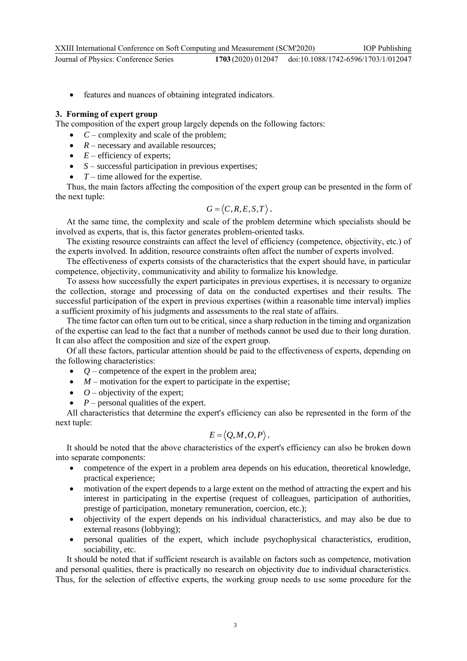# **3. Forming of expert group**

The composition of the expert group largely depends on the following factors:

- $\bullet$   $C$  complexity and scale of the problem;
- $R$  necessary and available resources;
- $\bullet$  *E* efficiency of experts;
- *S* successful participation in previous expertises;
- $\bullet$   $T$  time allowed for the expertise.

Thus, the main factors affecting the composition of the expert group can be presented in the form of the next tuple:

$$
G = \langle C, R, E, S, T \rangle.
$$

At the same time, the complexity and scale of the problem determine which specialists should be involved as experts, that is, this factor generates problem-oriented tasks.

The existing resource constraints can affect the level of efficiency (competence, objectivity, etc.) of the experts involved. In addition, resource constraints often affect the number of experts involved.

The effectiveness of experts consists of the characteristics that the expert should have, in particular competence, objectivity, communicativity and ability to formalize his knowledge.

To assess how successfully the expert participates in previous expertises, it is necessary to organize the collection, storage and processing of data on the conducted expertises and their results. The successful participation of the expert in previous expertises (within a reasonable time interval) implies a sufficient proximity of his judgments and assessments to the real state of affairs.

The time factor can often turn out to be critical, since a sharp reduction in the timing and organization of the expertise can lead to the fact that a number of methods cannot be used due to their long duration. It can also affect the composition and size of the expert group.

Of all these factors, particular attention should be paid to the effectiveness of experts, depending on the following characteristics:

- *Q* competence of the expert in the problem area;
- *M* motivation for the expert to participate in the expertise;
- $\bullet$  *O* objectivity of the expert;
- *P* personal qualities of the expert.

All characteristics that determine the expert's efficiency can also be represented in the form of the next tuple:

$$
E = \langle Q, M, O, P \rangle.
$$

It should be noted that the above characteristics of the expert's efficiency can also be broken down into separate components:

- competence of the expert in a problem area depends on his education, theoretical knowledge, practical experience;
- motivation of the expert depends to a large extent on the method of attracting the expert and his interest in participating in the expertise (request of colleagues, participation of authorities, prestige of participation, monetary remuneration, coercion, etc.);
- objectivity of the expert depends on his individual characteristics, and may also be due to external reasons (lobbying);
- personal qualities of the expert, which include psychophysical characteristics, erudition, sociability, etc.

It should be noted that if sufficient research is available on factors such as competence, motivation and personal qualities, there is practically no research on objectivity due to individual characteristics. Thus, for the selection of effective experts, the working group needs to use some procedure for the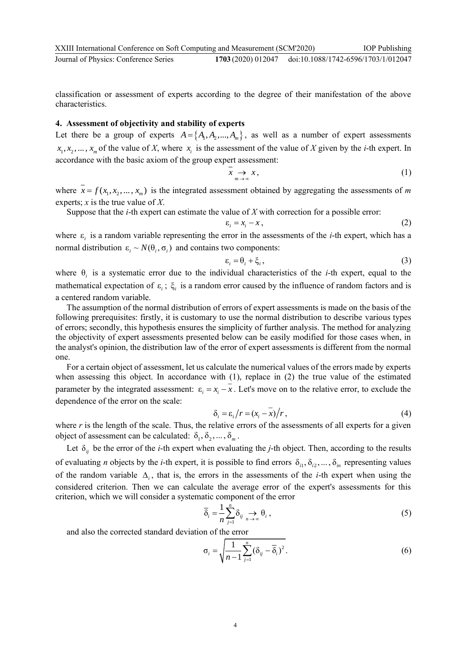classification or assessment of experts according to the degree of their manifestation of the above characteristics.

# **4. Assessment of objectivity and stability of experts**

Let there be a group of experts  $A = \{A_1, A_2, ..., A_m\}$ , as well as a number of expert assessments  $x_1, x_2, \dots, x_m$  of the value of X, where  $x_i$  is the assessment of the value of X given by the *i*-th expert. In accordance with the basic axiom of the group expert assessment:

$$
x \underset{m \to \infty}{\to} x, \tag{1}
$$

where  $x = f(x_1, x_2, ..., x_m)$  is the integrated assessment obtained by aggregating the assessments of *m* experts; *x* is the true value of *X*.

Suppose that the *i*-th expert can estimate the value of *X* with correction for a possible error:

$$
\varepsilon_i = x_i - x \,, \tag{2}
$$

where  $\varepsilon$ <sub>i</sub> is a random variable representing the error in the assessments of the *i*-th expert, which has a normal distribution  $\varepsilon_i \sim N(\theta_i, \sigma_i)$  and contains two components:

$$
\varepsilon_i = \theta_i + \xi_i, \tag{3}
$$

where  $\theta_i$  is a systematic error due to the individual characteristics of the *i*-th expert, equal to the mathematical expectation of  $\varepsilon_i$ ;  $\xi_i$  is a random error caused by the influence of random factors and is a centered random variable.

The assumption of the normal distribution of errors of expert assessments is made on the basis of the following prerequisites: firstly, it is customary to use the normal distribution to describe various types of errors; secondly, this hypothesis ensures the simplicity of further analysis. The method for analyzing the objectivity of expert assessments presented below can be easily modified for those cases when, in the analyst's opinion, the distribution law of the error of expert assessments is different from the normal one.

For a certain object of assessment, let us calculate the numerical values of the errors made by experts when assessing this object. In accordance with (1), replace in (2) the true value of the estimated parameter by the integrated assessment:  $\varepsilon_i = x_i - x$ . Let's move on to the relative error, to exclude the dependence of the error on the scale:

$$
\delta_i = \varepsilon_i / r = (x_i - \overline{x}) / r, \qquad (4)
$$

where  $r$  is the length of the scale. Thus, the relative errors of the assessments of all experts for a given object of assessment can be calculated:  $\delta_1, \delta_2, ..., \delta_m$ .

Let  $\delta_{ij}$  be the error of the *i*-th expert when evaluating the *j*-th object. Then, according to the results of evaluating *n* objects by the *i*-th expert, it is possible to find errors  $\delta_{i1}, \delta_{i2}, \ldots, \delta_{in}$  representing values of the random variable  $\Delta_i$ , that is, the errors in the assessments of the *i*-th expert when using the considered criterion. Then we can calculate the average error of the expert's assessments for this criterion, which we will consider a systematic component of the error

$$
\overline{\delta}_i = \frac{1}{n} \sum_{j=1}^n \delta_{ij} \underset{n \to \infty}{\to} \theta_i , \qquad (5)
$$

and also the corrected standard deviation of the error

$$
\sigma_i = \sqrt{\frac{1}{n-1} \sum_{j=1}^n (\delta_{ij} - \overline{\delta}_i)^2}.
$$
 (6)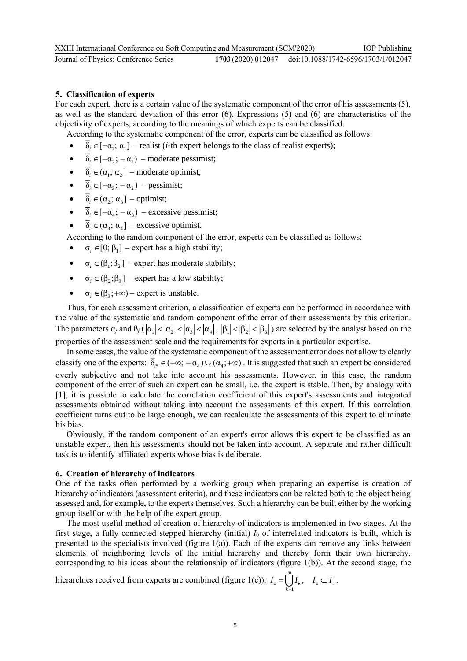# **5. Classification of experts**

For each expert, there is a certain value of the systematic component of the error of his assessments (5), as well as the standard deviation of this error (6). Expressions (5) and (6) are characteristics of the objectivity of experts, according to the meanings of which experts can be classified.

According to the systematic component of the error, experts can be classified as follows:

- $\overline{\delta}_i \in [-\alpha_i; \alpha_i]$  realist (*i*-th expert belongs to the class of realist experts);
- $\overline{\delta}_i \in [-\alpha_i; -\alpha_i]$  moderate pessimist;
- $\bullet$   $\overline{\delta}_i \in (\alpha_1; \alpha_2]$  moderate optimist;
- $\overline{\delta}_i \in [-\alpha_i; -\alpha_i]$  pessimist;
- $\bullet$   $\overline{\delta}_i \in (\alpha_2; \alpha_3]$  optimist;
- $\overline{\delta}_i \in [-\alpha_i; -\alpha_i]$  excessive pessimist;
- $\overline{\delta}_i \in (\alpha_3; \alpha_4]$  excessive optimist.

According to the random component of the error, experts can be classified as follows:

- $\bullet \quad \sigma_i \in [0; \beta_1]$  expert has a high stability;
- $\bullet \quad \sigma_i \in (\beta_1; \beta_2]$  expert has moderate stability;
- $\bullet \quad \sigma_i \in (\beta_2; \beta_3]$  expert has a low stability;
- $\bullet \quad \sigma_i \in (\beta_3; +\infty)$  expert is unstable.

Thus, for each assessment criterion, a classification of experts can be performed in accordance with the value of the systematic and random component of the error of their assessments by this criterion. The parameters  $\alpha_j$  and  $\beta_j$  ( $|\alpha_1| < |\alpha_2| < |\alpha_3| < |\alpha_4|$ ,  $|\beta_1| < |\beta_2| < |\beta_3|$ ) are selected by the analyst based on the properties of the assessment scale and the requirements for experts in a particular expertise.

In some cases, the value of the systematic component of the assessment error does not allow to clearly classify one of the experts:  $\delta_{i^*} \in (-\infty; -\alpha_4) \cup (\alpha_4; +\infty)$ . It is suggested that such an expert be considered overly subjective and not take into account his assessments. However, in this case, the random component of the error of such an expert can be small, i.e. the expert is stable. Then, by analogy with [1], it is possible to calculate the correlation coefficient of this expert's assessments and integrated assessments obtained without taking into account the assessments of this expert. If this correlation coefficient turns out to be large enough, we can recalculate the assessments of this expert to eliminate his bias.

Obviously, if the random component of an expert's error allows this expert to be classified as an unstable expert, then his assessments should not be taken into account. A separate and rather difficult task is to identify affiliated experts whose bias is deliberate.

#### **6. Creation of hierarchy of indicators**

One of the tasks often performed by a working group when preparing an expertise is creation of hierarchy of indicators (assessment criteria), and these indicators can be related both to the object being assessed and, for example, to the experts themselves. Such a hierarchy can be built either by the working group itself or with the help of the expert group.

The most useful method of creation of hierarchy of indicators is implemented in two stages. At the first stage, a fully connected stepped hierarchy (initial) *I*<sup>0</sup> of interrelated indicators is built, which is presented to the specialists involved (figure 1(a)). Each of the experts can remove any links between elements of neighboring levels of the initial hierarchy and thereby form their own hierarchy, corresponding to his ideas about the relationship of indicators (figure 1(b)). At the second stage, the

hierarchy received from experts are combined (figure 1(c)): 
$$
I_z = \bigcup_{k=1}^{m} I_k
$$
,  $I_z \subset I_o$ .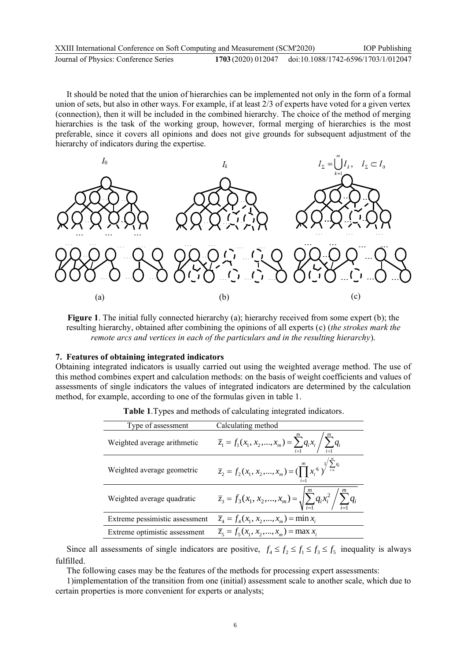| XXIII International Conference on Soft Computing and Measurement (SCM'2020) |  | <b>IOP</b> Publishing                                  |
|-----------------------------------------------------------------------------|--|--------------------------------------------------------|
| Journal of Physics: Conference Series                                       |  | 1703 (2020) 012047 doi:10.1088/1742-6596/1703/1/012047 |

It should be noted that the union of hierarchies can be implemented not only in the form of a formal union of sets, but also in other ways. For example, if at least 2/3 of experts have voted for a given vertex (connection), then it will be included in the combined hierarchy. The choice of the method of merging hierarchies is the task of the working group, however, formal merging of hierarchies is the most preferable, since it covers all opinions and does not give grounds for subsequent adjustment of the hierarchy of indicators during the expertise.



**Figure 1**. The initial fully connected hierarchy (a); hierarchy received from some expert (b); the resulting hierarchy, obtained after combining the opinions of all experts (c) (*the strokes mark the remote arcs and vertices in each of the particulars and in the resulting hierarchy*).

#### **7. Features of obtaining integrated indicators**

Obtaining integrated indicators is usually carried out using the weighted average method. The use of this method combines expert and calculation methods: on the basis of weight coefficients and values of assessments of single indicators the values of integrated indicators are determined by the calculation method, for example, according to one of the formulas given in table 1.

| Type of assessment             | Calculating method                                                                                           |
|--------------------------------|--------------------------------------------------------------------------------------------------------------|
| Weighted average arithmetic    | $\overline{z}_1 = f_1(x_1, x_2, , x_m) = \sum_{i=1}^{m} q_i x_i / \sum_{i=1}^{m} q_i$                        |
| Weighted average geometric     | $\overline{z}_2 = f_2(x_1, x_2, , x_m) = \left(\prod_{i=1}^{m} x_i^{q_i}\right)^{\sqrt{\sum_{i=1}^{n} q_i}}$ |
| Weighted average quadratic     | $\overline{z}_3 = f_3(x_1, x_2,,x_m) = \sqrt{\sum_{i=1}^m q_i x_i^2} / \sum_{i=1}^m q_i$                     |
| Extreme pessimistic assessment | $\overline{z}_4 = f_4(x_1, x_2, , x_m) = \min x_i$                                                           |
| Extreme optimistic assessment  | $\overline{z}_5 = f_5(x_1, x_2, , x_m) = \max x_i$                                                           |

**Table 1**.Types and methods of calculating integrated indicators.

Since all assessments of single indicators are positive,  $f_4 \le f_2 \le f_1 \le f_3 \le f_5$  inequality is always fulfilled.

The following cases may be the features of the methods for processing expert assessments:

1)implementation of the transition from one (initial) assessment scale to another scale, which due to certain properties is more convenient for experts or analysts;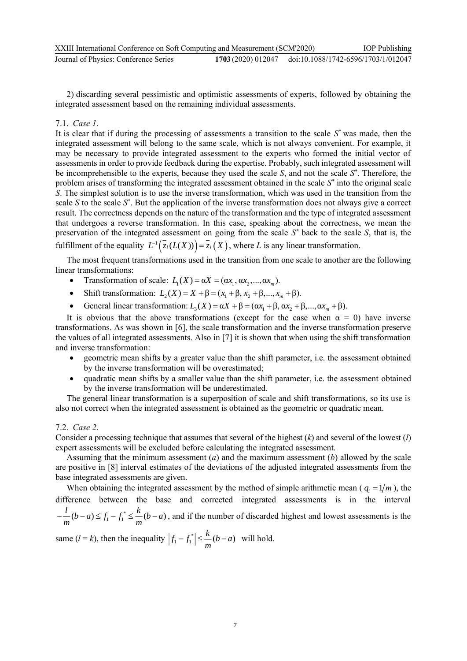2) discarding several pessimistic and optimistic assessments of experts, followed by obtaining the integrated assessment based on the remaining individual assessments.

### 7.1. *Case 1*.

It is clear that if during the processing of assessments a transition to the scale *S \** was made, then the integrated assessment will belong to the same scale, which is not always convenient. For example, it may be necessary to provide integrated assessment to the experts who formed the initial vector of assessments in order to provide feedback during the expertise. Probably, such integrated assessment will be incomprehensible to the experts, because they used the scale *S*, and not the scale *S \** . Therefore, the problem arises of transforming the integrated assessment obtained in the scale *S \** into the original scale *S*. The simplest solution is to use the inverse transformation, which was used in the transition from the scale  $S$  to the scale  $S^*$ . But the application of the inverse transformation does not always give a correct result. The correctness depends on the nature of the transformation and the type of integrated assessment that undergoes a reverse transformation. In this case, speaking about the correctness, we mean the preservation of the integrated assessment on going from the scale *S \** back to the scale *S*, that is, the fulfillment of the equality  $L^{-1}(\bar{z}_i(L(X))) = \bar{z}_i(X)$ , where *L* is any linear transformation.

The most frequent transformations used in the transition from one scale to another are the following linear transformations:

- Transformation of scale:  $L_1(X) = \alpha X = (\alpha x_1, \alpha x_2, ..., \alpha x_m)$ .
- Shift transformation:  $L_2(X) = X + \beta = (x_1 + \beta, x_2 + \beta, ..., x_m + \beta).$
- General linear transformation:  $L_3(X) = \alpha X + \beta = (\alpha x_1 + \beta, \alpha x_2 + \beta, ..., \alpha x_m + \beta)$ .

It is obvious that the above transformations (except for the case when  $\alpha = 0$ ) have inverse transformations. As was shown in [6], the scale transformation and the inverse transformation preserve the values of all integrated assessments. Also in [7] it is shown that when using the shift transformation and inverse transformation:

- geometric mean shifts by a greater value than the shift parameter, i.e. the assessment obtained by the inverse transformation will be overestimated;
- quadratic mean shifts by a smaller value than the shift parameter, i.e. the assessment obtained by the inverse transformation will be underestimated.

The general linear transformation is a superposition of scale and shift transformations, so its use is also not correct when the integrated assessment is obtained as the geometric or quadratic mean.

### 7.2. *Case 2*.

Consider a processing technique that assumes that several of the highest (*k*) and several of the lowest (*l*) expert assessments will be excluded before calculating the integrated assessment.

Assuming that the minimum assessment (*a*) and the maximum assessment (*b*) allowed by the scale are positive in [8] interval estimates of the deviations of the adjusted integrated assessments from the base integrated assessments are given.

When obtaining the integrated assessment by the method of simple arithmetic mean ( $q_i = 1/m$ ), the difference between the base and corrected integrated assessments is in the interval  $\frac{1}{m}(b-a) \leq f_1 - f_1^* \leq \frac{k}{m}(b-a)$  $-\frac{1}{2}(b-a) \le f_1 - f_1^* \le \frac{1}{2}(b-a)$ , and if the number of discarded highest and lowest assessments is the

same  $(l = k)$ , then the inequality  $|f_1 - f_1^*| \leq \frac{k}{m}(b - a)$  will hold.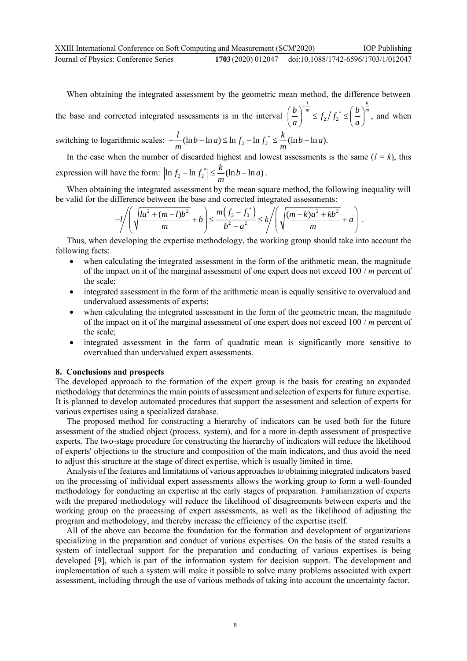When obtaining the integrated assessment by the geometric mean method, the difference between

the base and corrected integrated assessments is in the interval  $\left|\frac{b}{n}\right|^{m} \leq f_2/f_2^*$  $\left(\frac{b}{a}\right)^{-\frac{l}{m}} \leq f_2 / f_2^* \leq \left(\frac{b}{a}\right)^{\frac{k}{m}}$  $\left(\frac{b}{a}\right)^{-m} \leq f_2/f_2^* \leq \left(\frac{b}{a}\right)^{-m}$ , and when

switching to logarithmic scales:  $-\frac{l}{m}(\ln b - \ln a) \leq \ln f_2 - \ln f_2^* \leq \frac{k}{m}(\ln b - \ln a)$ .

In the case when the number of discarded highest and lowest assessments is the same  $(l = k)$ , this expression will have the form:  $\left|\ln f_2 - \ln f_2^*\right| \leq \frac{k}{m}(\ln b - \ln a)$ .

When obtaining the integrated assessment by the mean square method, the following inequality will be valid for the difference between the base and corrected integrated assessments:

$$
-l \left( \sqrt{\frac{la^2 + (m-l)b^2}{m}} + b \right) \le \frac{m(f_3 - f_3^*)}{b^2 - a^2} \le k \left/ \left( \sqrt{\frac{(m-k)a^2 + kb^2}{m}} + a \right) .
$$

Thus, when developing the expertise methodology, the working group should take into account the following facts:

- when calculating the integrated assessment in the form of the arithmetic mean, the magnitude of the impact on it of the marginal assessment of one expert does not exceed 100 / *m* percent of the scale;
- integrated assessment in the form of the arithmetic mean is equally sensitive to overvalued and undervalued assessments of experts;
- when calculating the integrated assessment in the form of the geometric mean, the magnitude of the impact on it of the marginal assessment of one expert does not exceed 100 / *m* percent of the scale;
- integrated assessment in the form of quadratic mean is significantly more sensitive to overvalued than undervalued expert assessments.

#### **8. Conclusions and prospects**

The developed approach to the formation of the expert group is the basis for creating an expanded methodology that determines the main points of assessment and selection of experts for future expertise. It is planned to develop automated procedures that support the assessment and selection of experts for various expertises using a specialized database.

The proposed method for constructing a hierarchy of indicators can be used both for the future assessment of the studied object (process, system), and for a more in-depth assessment of prospective experts. The two-stage procedure for constructing the hierarchy of indicators will reduce the likelihood of experts' objections to the structure and composition of the main indicators, and thus avoid the need to adjust this structure at the stage of direct expertise, which is usually limited in time.

Analysis of the features and limitations of various approaches to obtaining integrated indicators based on the processing of individual expert assessments allows the working group to form a well-founded methodology for conducting an expertise at the early stages of preparation. Familiarization of experts with the prepared methodology will reduce the likelihood of disagreements between experts and the working group on the processing of expert assessments, as well as the likelihood of adjusting the program and methodology, and thereby increase the efficiency of the expertise itself.

All of the above can become the foundation for the formation and development of organizations specializing in the preparation and conduct of various expertises. On the basis of the stated results a system of intellectual support for the preparation and conducting of various expertises is being developed [9], which is part of the information system for decision support. The development and implementation of such a system will make it possible to solve many problems associated with expert assessment, including through the use of various methods of taking into account the uncertainty factor.